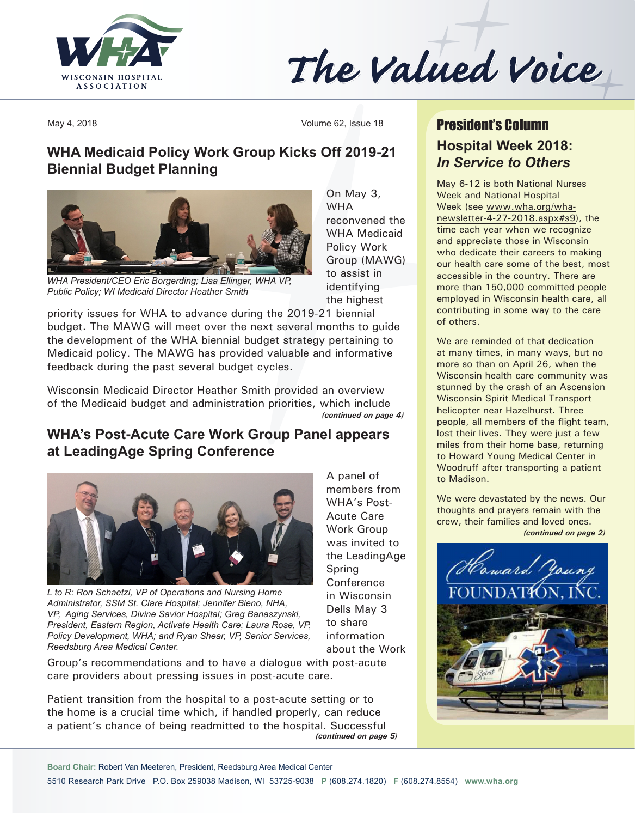

# The Valued Voice

May 4, 2018 Volume 62, Issue 18

## **WHA Medicaid Policy Work Group Kicks Off 2019-21 Biennial Budget Planning**



*WHA President/CEO Eric Borgerding; Lisa Ellinger, WHA VP, Public Policy; WI Medicaid Director Heather Smith*

On May 3, WHA reconvened the WHA Medicaid Policy Work Group (MAWG) to assist in identifying the highest

A panel of members from WHA's Post-Acute Care Work Group was invited to the LeadingAge

Spring Conference in Wisconsin Dells May 3 to share information about the Work

priority issues for WHA to advance during the 2019-21 biennial budget. The MAWG will meet over the next several months to guide the development of the WHA biennial budget strategy pertaining to Medicaid policy. The MAWG has provided valuable and informative feedback during the past several budget cycles.

Wisconsin Medicaid Director Heather Smith provided an overview of the Medicaid budget and administration priorities, which include *(continued on page 4)*

## **WHA's Post-Acute Care Work Group Panel appears at LeadingAge Spring Conference**



*L to R: Ron Schaetzl, VP of Operations and Nursing Home Administrator, SSM St. Clare Hospital; Jennifer Bieno, NHA, VP, Aging Services, Divine Savior Hospital; Greg Banaszynski, President, Eastern Region, Activate Health Care; Laura Rose, VP, Policy Development, WHA; and Ryan Shear, VP, Senior Services, Reedsburg Area Medical Center.*

Group's recommendations and to have a dialogue with post-acute care providers about pressing issues in post-acute care.

Patient transition from the hospital to a post-acute setting or to the home is a crucial time which, if handled properly, can reduce a patient's chance of being readmitted to the hospital. Successful *(continued on page 5)*

# **Hospital Week 2018:**  *In Service to Others* President's Column

May 6-12 is both National Nurses Week and National Hospital Week (see www.wha.org/whanewsletter-4-27-2018.aspx#s9), the time each year when we recognize and appreciate those in Wisconsin who dedicate their careers to making our health care some of the best, most accessible in the country. There are more than 150,000 committed people employed in Wisconsin health care, all contributing in some way to the care of others.

We are reminded of that dedication at many times, in many ways, but no more so than on April 26, when the Wisconsin health care community was stunned by the crash of an Ascension Wisconsin Spirit Medical Transport helicopter near Hazelhurst. Three people, all members of the flight team, lost their lives. They were just a few miles from their home base, returning to Howard Young Medical Center in Woodruff after transporting a patient to Madison.

We were devastated by the news. Our thoughts and prayers remain with the crew, their families and loved ones. *(continued on page 2)*



**Board Chair:** Robert Van Meeteren, President, Reedsburg Area Medical Center

5510 Research Park Drive P.O. Box 259038 Madison, WI 53725-9038 **P** (608.274.1820) **F** (608.274.8554) **[www.wha.org](http://www.wha.org)**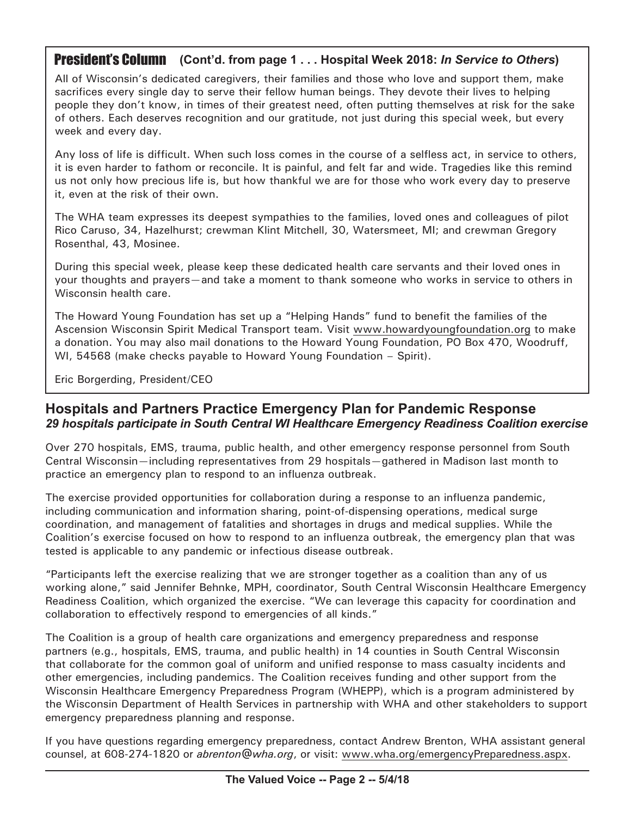## President's Column **(Cont'd. from page 1 . . . Hospital Week 2018:** *In Service to Others***)**

All of Wisconsin's dedicated caregivers, their families and those who love and support them, make sacrifices every single day to serve their fellow human beings. They devote their lives to helping people they don't know, in times of their greatest need, often putting themselves at risk for the sake of others. Each deserves recognition and our gratitude, not just during this special week, but every week and every day.

Any loss of life is difficult. When such loss comes in the course of a selfless act, in service to others, it is even harder to fathom or reconcile. It is painful, and felt far and wide. Tragedies like this remind us not only how precious life is, but how thankful we are for those who work every day to preserve it, even at the risk of their own.

The WHA team expresses its deepest sympathies to the families, loved ones and colleagues of pilot Rico Caruso, 34, Hazelhurst; crewman Klint Mitchell, 30, Watersmeet, MI; and crewman Gregory Rosenthal, 43, Mosinee.

During this special week, please keep these dedicated health care servants and their loved ones in your thoughts and prayers—and take a moment to thank someone who works in service to others in Wisconsin health care.

The Howard Young Foundation has set up a "Helping Hands" fund to benefit the families of the Ascension Wisconsin Spirit Medical Transport team. Visit www.howardyoungfoundation.org to make a donation. You may also mail donations to the Howard Young Foundation, PO Box 470, Woodruff, WI, 54568 (make checks payable to Howard Young Foundation – Spirit).

Eric Borgerding, President/CEO

#### **Hospitals and Partners Practice Emergency Plan for Pandemic Response** *29 hospitals participate in South Central WI Healthcare Emergency Readiness Coalition exercise*

Over 270 hospitals, EMS, trauma, public health, and other emergency response personnel from South Central Wisconsin—including representatives from 29 hospitals—gathered in Madison last month to practice an emergency plan to respond to an influenza outbreak.

The exercise provided opportunities for collaboration during a response to an influenza pandemic, including communication and information sharing, point-of-dispensing operations, medical surge coordination, and management of fatalities and shortages in drugs and medical supplies. While the Coalition's exercise focused on how to respond to an influenza outbreak, the emergency plan that was tested is applicable to any pandemic or infectious disease outbreak.

"Participants left the exercise realizing that we are stronger together as a coalition than any of us working alone," said Jennifer Behnke, MPH, coordinator, South Central Wisconsin Healthcare Emergency Readiness Coalition, which organized the exercise. "We can leverage this capacity for coordination and collaboration to effectively respond to emergencies of all kinds."

The Coalition is a group of health care organizations and emergency preparedness and response partners (e.g., hospitals, EMS, trauma, and public health) in 14 counties in South Central Wisconsin that collaborate for the common goal of uniform and unified response to mass casualty incidents and other emergencies, including pandemics. The Coalition receives funding and other support from the Wisconsin Healthcare Emergency Preparedness Program (WHEPP), which is a program administered by the Wisconsin Department of Health Services in partnership with WHA and other stakeholders to support emergency preparedness planning and response.

If you have questions regarding emergency preparedness, contact Andrew Brenton, WHA assistant general counsel, at 608-274-1820 or *[abrenton@wha.org](mailto:abrenton@wha.org)*, or visit: [www.wha.org/emergencyPreparedness.aspx](http://www.wha.org/emergencyPreparedness.aspx).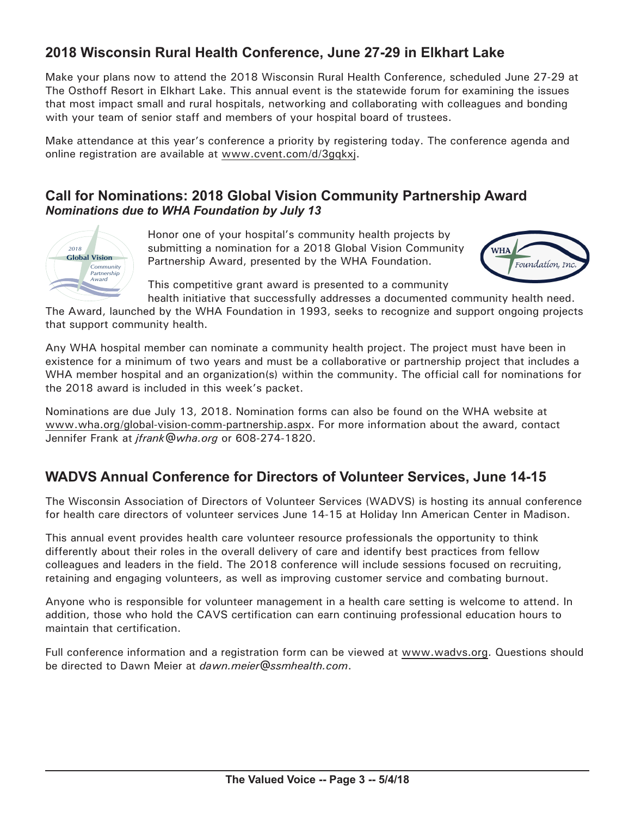## **2018 Wisconsin Rural Health Conference, June 27-29 in Elkhart Lake**

Make your plans now to attend the 2018 Wisconsin Rural Health Conference, scheduled June 27-29 at The Osthoff Resort in Elkhart Lake. This annual event is the statewide forum for examining the issues that most impact small and rural hospitals, networking and collaborating with colleagues and bonding with your team of senior staff and members of your hospital board of trustees.

Make attendance at this year's conference a priority by registering today. The conference agenda and online registration are available at [www.cvent.com/](http://www.cvent.com/d/3gqkxj)d/3gqkxj.

## **Call for Nominations: 2018 Global Vision Community Partnership Award** *Nominations due to WHA Foundation by July 13*



Honor one of your hospital's community health projects by submitting a nomination for a 2018 Global Vision Community Partnership Award, presented by the WHA Foundation.



This competitive grant award is presented to a community health initiative that successfully addresses a documented community health need.

The Award, launched by the WHA Foundation in 1993, seeks to recognize and support ongoing projects that support community health.

Any WHA hospital member can nominate a community health project. The project must have been in existence for a minimum of two years and must be a collaborative or partnership project that includes a WHA member hospital and an organization(s) within the community. The official call for nominations for the 2018 award is included in this week's packet.

Nominations are due July 13, 2018. Nomination forms can also be found on the WHA website at [www.wha.org/global-vision-comm-partnership.aspx.](http://www.wha.org/global-vision-comm-partnership.aspx) For more information about the award, contact Jennifer Frank at *[jfrank@wha.org](mailto:jfrank@wha.org)* or 608-274-1820.

## **WADVS Annual Conference for Directors of Volunteer Services, June 14-15**

The Wisconsin Association of Directors of Volunteer Services (WADVS) is hosting its annual conference for health care directors of volunteer services June 14-15 at Holiday Inn American Center in Madison.

This annual event provides health care volunteer resource professionals the opportunity to think differently about their roles in the overall delivery of care and identify best practices from fellow colleagues and leaders in the field. The 2018 conference will include sessions focused on recruiting, retaining and engaging volunteers, as well as improving customer service and combating burnout.

Anyone who is responsible for volunteer management in a health care setting is welcome to attend. In addition, those who hold the CAVS certification can earn continuing professional education hours to maintain that certification.

Full conference information and a registration form can be viewed at [www.wadvs.org](http://www.wadvs.org). Questions should be directed to Dawn Meier at *[dawn.meier@ssmhealth.com](mailto:dawn.meier@ssmhealth.com)*.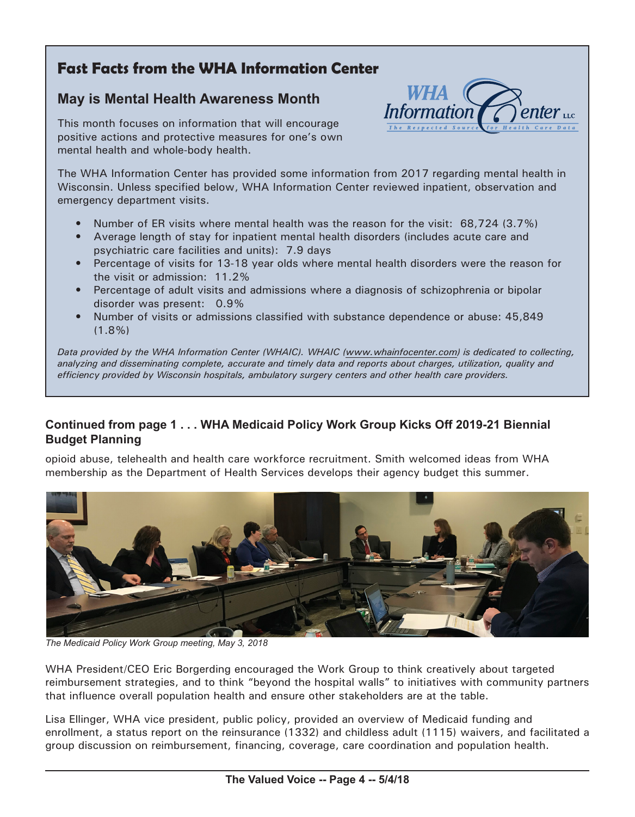# **Fast Facts from the WHA Information Center**

## **May is Mental Health Awareness Month**

This month focuses on information that will encourage positive actions and protective measures for one's own mental health and whole-body health.



The WHA Information Center has provided some information from 2017 regarding mental health in Wisconsin. Unless specified below, WHA Information Center reviewed inpatient, observation and emergency department visits.

- Number of ER visits where mental health was the reason for the visit: 68,724 (3.7%)
- Average length of stay for inpatient mental health disorders (includes acute care and psychiatric care facilities and units): 7.9 days
- Percentage of visits for 13-18 year olds where mental health disorders were the reason for the visit or admission: 11.2%
- Percentage of adult visits and admissions where a diagnosis of schizophrenia or bipolar disorder was present: 0.9%
- Number of visits or admissions classified with substance dependence or abuse: 45,849 (1.8%)

*Data provided by the WHA Information Center (WHAIC). WHAIC [\(www.whainfocenter.com\)](http://www.whainfocenter.com) is dedicated to collecting, analyzing and disseminating complete, accurate and timely data and reports about charges, utilization, quality and efficiency provided by Wisconsin hospitals, ambulatory surgery centers and other health care providers.*

#### **Continued from page 1 . . . WHA Medicaid Policy Work Group Kicks Off 2019-21 Biennial Budget Planning**

opioid abuse, telehealth and health care workforce recruitment. Smith welcomed ideas from WHA membership as the Department of Health Services develops their agency budget this summer.



*The Medicaid Policy Work Group meeting, May 3, 2018*

WHA President/CEO Eric Borgerding encouraged the Work Group to think creatively about targeted reimbursement strategies, and to think "beyond the hospital walls" to initiatives with community partners that influence overall population health and ensure other stakeholders are at the table.

Lisa Ellinger, WHA vice president, public policy, provided an overview of Medicaid funding and enrollment, a status report on the reinsurance (1332) and childless adult (1115) waivers, and facilitated a group discussion on reimbursement, financing, coverage, care coordination and population health.